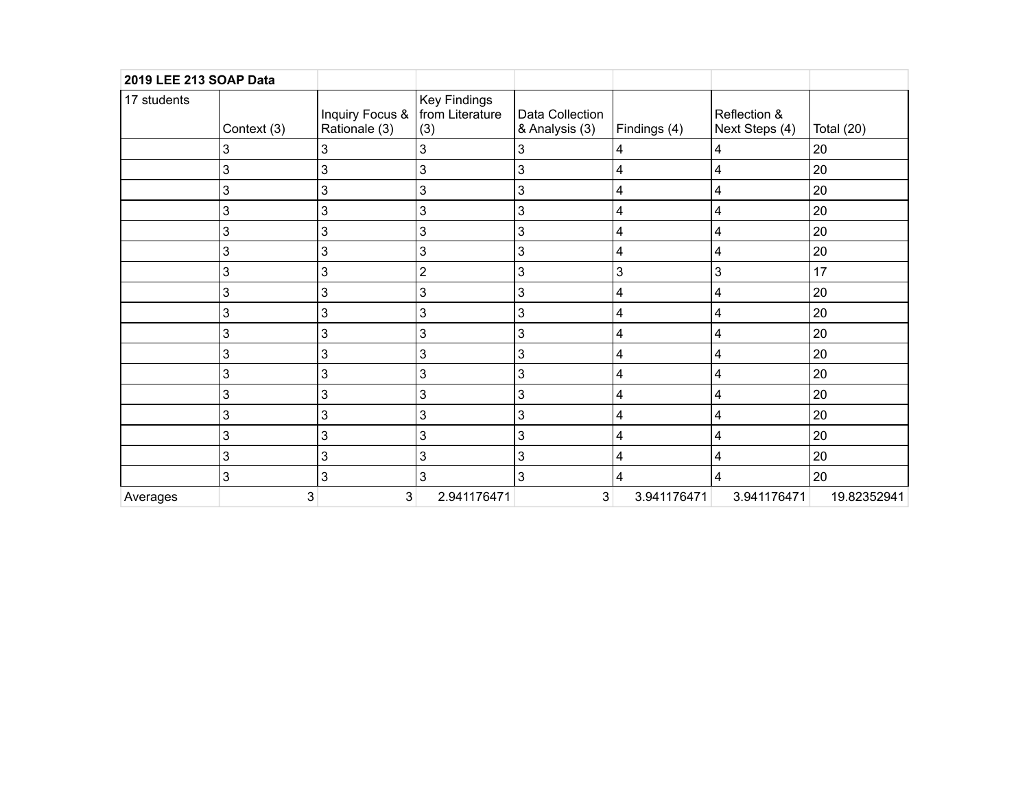| 2019 LEE 213 SOAP Data |             |                                                    |                            |                                   |              |                                |              |
|------------------------|-------------|----------------------------------------------------|----------------------------|-----------------------------------|--------------|--------------------------------|--------------|
| 17 students            | Context (3) | Inquiry Focus &   from Literature<br>Rationale (3) | <b>Key Findings</b><br>(3) | Data Collection<br>& Analysis (3) | Findings (4) | Reflection &<br>Next Steps (4) | Total $(20)$ |
|                        | 3           | 3                                                  | $\sqrt{3}$                 | 3                                 | 4            | 4                              | 20           |
|                        | 3           | 3                                                  | 3                          | $\mathbf{3}$                      | 4            | 4                              | 20           |
|                        | 3           | 3                                                  | 3                          | $\ensuremath{\mathsf{3}}$         | 4            | 4                              | 20           |
|                        | 3           | 3                                                  | $\mathbf{3}$               | $\ensuremath{\mathsf{3}}$         | 4            | 4                              | 20           |
|                        | 3           | 3                                                  | $\ensuremath{\mathsf{3}}$  | $\ensuremath{\mathsf{3}}$         | 4            | 4                              | 20           |
|                        | 3           | 3                                                  | 3                          | 3                                 | 4            | 4                              | 20           |
|                        | 3           | 3                                                  | $\mathbf 2$                | 3                                 | 3            | $\mathbf{3}$                   | 17           |
|                        | 3           | 3                                                  | 3                          | 3                                 | 4            | 4                              | 20           |
|                        | 3           | 3                                                  | 3                          | $\mathbf 3$                       | 4            | 4                              | 20           |
|                        | 3           | 3                                                  | 3                          | 3                                 | 4            | 4                              | 20           |
|                        | 3           | 3                                                  | 3                          | 3                                 | 4            | 4                              | 20           |
|                        | 3           | 3                                                  | 3                          | $\mathbf{3}$                      | 4            | 4                              | 20           |
|                        | 3           | 3                                                  | 3                          | $\ensuremath{\mathsf{3}}$         | 4            | 4                              | 20           |
|                        | 3           | 3                                                  | 3                          | 3                                 | 4            | 4                              | 20           |
|                        | 3           | 3                                                  | 3                          | $\ensuremath{\mathsf{3}}$         | 4            | 4                              | 20           |
|                        | 3           | 3                                                  | $\mathbf{3}$               | $\mathbf{3}$                      | 4            | 4                              | 20           |
|                        | 3           | 3                                                  | 3                          | $\mathbf{3}$                      | 4            | 4                              | 20           |
| Averages               | 3           | 3 <sub>l</sub>                                     | 2.941176471                | 3                                 | 3.941176471  | 3.941176471                    | 19.82352941  |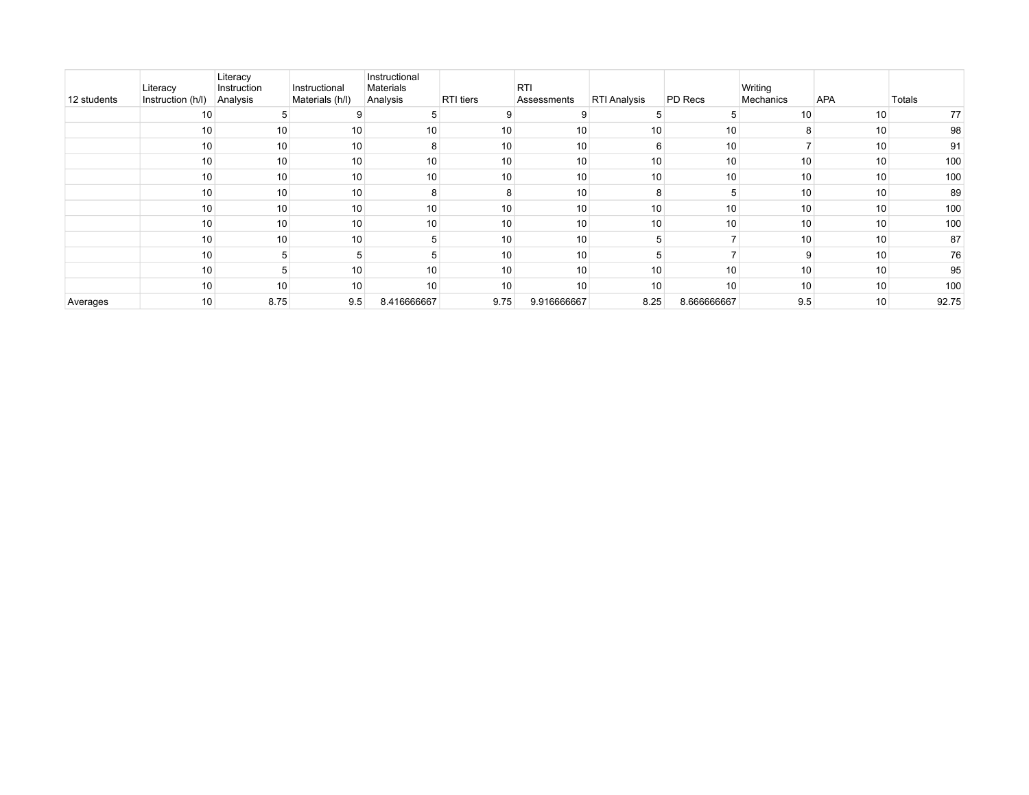| 12 students | Literacy<br>Instruction (h/l) | Literacy<br>Instruction<br>Analysis | Instructional<br>Materials (h/l) | Instructional<br>Materials<br>Analysis | <b>RTI</b> tiers | <b>RTI</b><br>Assessments | <b>RTI Analysis</b> | PD Recs     | Writing<br>Mechanics | APA             | Totals |
|-------------|-------------------------------|-------------------------------------|----------------------------------|----------------------------------------|------------------|---------------------------|---------------------|-------------|----------------------|-----------------|--------|
|             | 10                            |                                     |                                  |                                        |                  |                           |                     | 5           | 10                   | 10              | 77     |
|             | 10                            | 10                                  | 10                               | 10                                     | 10 <sub>1</sub>  | 10                        | 10                  | 10          | 8                    | 10              | 98     |
|             | 10                            | 10                                  | 10                               | 8                                      | 10               | 10                        |                     | 10          |                      | 10              | 91     |
|             | 10                            | 10                                  | 10                               | 10                                     | 10               | 10                        | 10                  | 10          | 10 <sup>1</sup>      | 10              | 100    |
|             | 10                            | 10                                  | 10                               | 10                                     | 10               | 10                        | 10                  | 10          | 10                   | 10 <sub>1</sub> | 100    |
|             | 10                            | 10                                  | 10                               | 8                                      |                  | 10                        |                     |             | 10                   | 10              | 89     |
|             | 10                            | 10                                  | 10                               | 10                                     | 10               | 10                        | 10                  | 10          | 10                   | 10              | 100    |
|             | 10                            | 10                                  | 10                               | 10                                     | 10               | 10                        | 10                  | 10          | 10                   | 10              | 100    |
|             | 10                            | 10                                  | 10                               | 5                                      | 10               | 10 <sub>1</sub>           |                     |             | 10                   | 10              | 87     |
|             | 10                            |                                     | 5                                |                                        | 10               | 10                        |                     |             | 9                    | 10              | 76     |
|             | 10                            |                                     | 10                               | 10                                     | 10               | 10                        | 10                  | 10          | 10                   | 10              | 95     |
|             | 10                            | 10                                  | 10                               | 10                                     | 10 <sub>1</sub>  | 10                        | 10                  | 10          | 10                   | 10              | 100    |
| Averages    | 10                            | 8.75                                | 9.5                              | 8.416666667                            | 9.75             | 9.916666667               | 8.25                | 8.666666667 | 9.5                  | 10              | 92.75  |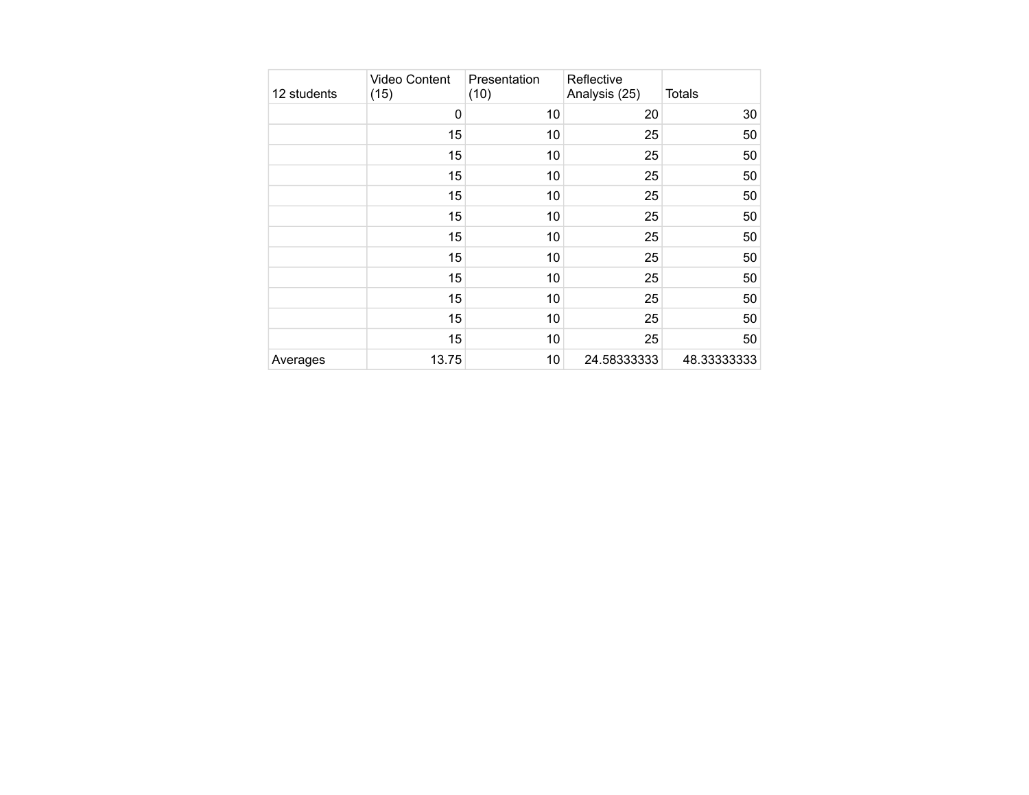| 12 students | <b>Video Content</b><br>(15) | Presentation<br>(10) | Reflective<br>Analysis (25) | Totals      |
|-------------|------------------------------|----------------------|-----------------------------|-------------|
|             | 0                            | 10                   | 20                          | 30          |
|             | 15                           | 10                   | 25                          | 50          |
|             | 15                           | 10                   | 25                          | 50          |
|             | 15                           | 10                   | 25                          | 50          |
|             | 15                           | 10                   | 25                          | 50          |
|             | 15                           | 10                   | 25                          | 50          |
|             | 15                           | 10                   | 25                          | 50          |
|             | 15                           | 10                   | 25                          | 50          |
|             | 15                           | 10                   | 25                          | 50          |
|             | 15                           | 10                   | 25                          | 50          |
|             | 15                           | 10                   | 25                          | 50          |
|             | 15                           | 10                   | 25                          | 50          |
| Averages    | 13.75                        | 10                   | 24.58333333                 | 48.33333333 |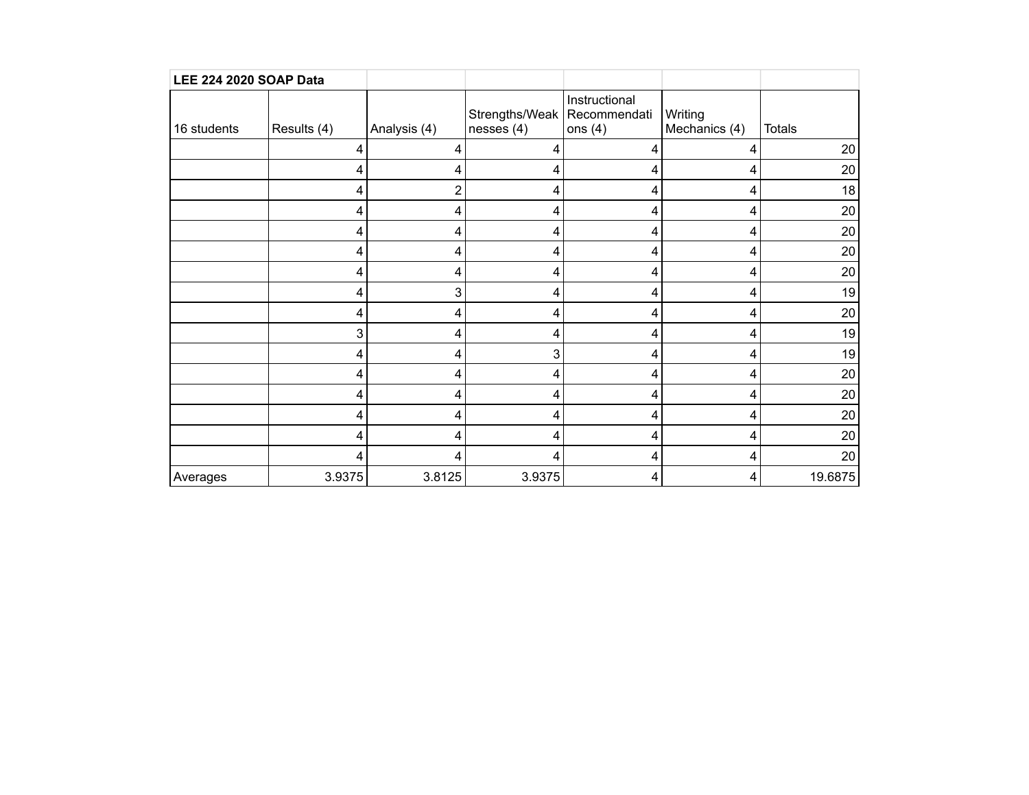| <b>LEE 224 2020 SOAP Data</b> |             |              |                                             |                            |                          |               |
|-------------------------------|-------------|--------------|---------------------------------------------|----------------------------|--------------------------|---------------|
| 16 students                   | Results (4) | Analysis (4) | Strengths/Weak   Recommendati<br>nesses (4) | Instructional<br>ons $(4)$ | Writing<br>Mechanics (4) | <b>Totals</b> |
|                               | 4           | 4            | 4                                           | 4                          | 4                        | 20            |
|                               | 4           |              | 4                                           | 4                          | 4                        | 20            |
|                               | 4           | 2            | 4                                           | 4                          | 4                        | 18            |
|                               | 4           | 4            | 4                                           | 4                          | 4                        | 20            |
|                               | 4           | 4            | 4                                           | 4                          | 4                        | 20            |
|                               | 4           | 4            | 4                                           | 4                          | 4                        | 20            |
|                               | 4           | 4            | 4                                           | 4                          | 4                        | 20            |
|                               | 4           | 3            | 4                                           | 4                          | 4                        | 19            |
|                               | 4           | 4            | 4                                           | 4                          | 4                        | 20            |
|                               | 3           | 4            | 4                                           | 4                          | 4                        | 19            |
|                               | 4           | 4            | 3                                           | 4                          | 4                        | 19            |
|                               | 4           | 4            | 4                                           | 4                          | 4                        | 20            |
|                               | 4           | 4            | 4                                           | 4                          | 4                        | 20            |
|                               | 4           | 4            | 4                                           | 4                          | 4                        | 20            |
|                               | 4           | 4            | 4                                           | 4                          | 4                        | 20            |
|                               | 4           | 4            | 4                                           | 4                          | 4                        | 20            |
| Averages                      | 3.9375      | 3.8125       | 3.9375                                      | 4                          | 4                        | 19.6875       |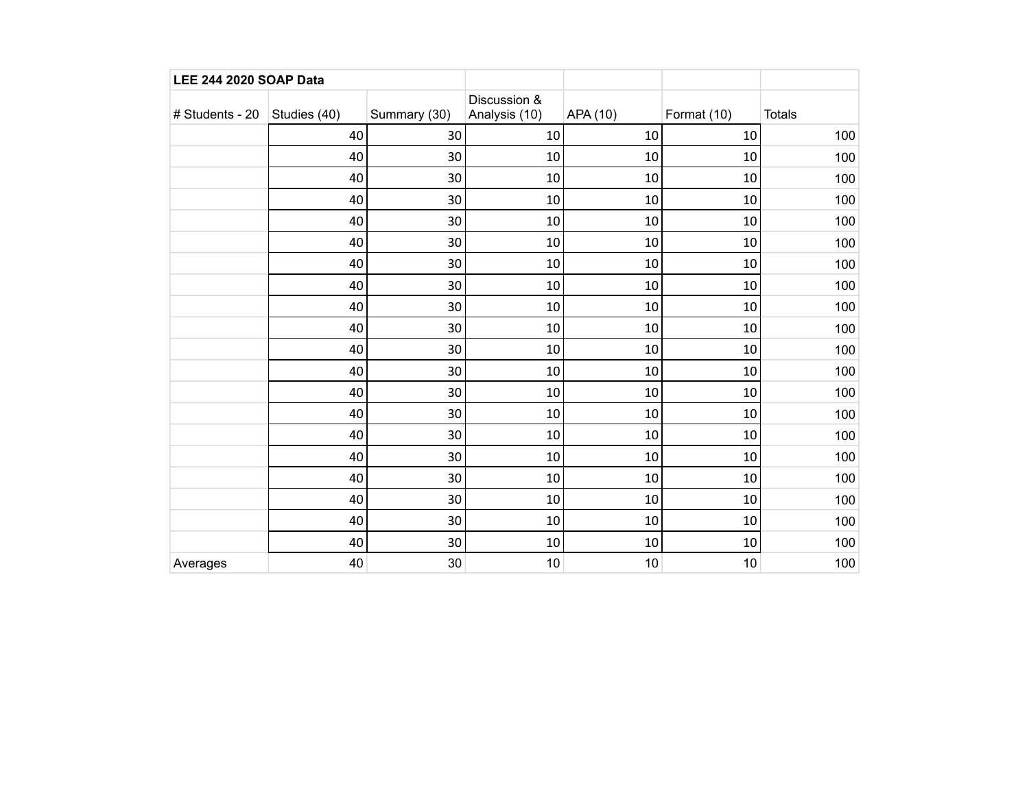| <b>LEE 244 2020 SOAP Data</b>    |    |              |                               |          |             |               |
|----------------------------------|----|--------------|-------------------------------|----------|-------------|---------------|
| # Students - 20   Studies $(40)$ |    | Summary (30) | Discussion &<br>Analysis (10) | APA (10) | Format (10) | <b>Totals</b> |
|                                  | 40 | 30           | 10                            | 10       | 10          | 100           |
|                                  | 40 | 30           | 10                            | 10       | 10          | 100           |
|                                  | 40 | 30           | 10                            | 10       | $10\,$      | 100           |
|                                  | 40 | 30           | 10                            | 10       | $10\,$      | 100           |
|                                  | 40 | 30           | 10                            | 10       | $10\,$      | 100           |
|                                  | 40 | 30           | 10                            | 10       | $10\,$      | 100           |
|                                  | 40 | 30           | 10                            | 10       | 10          | 100           |
|                                  | 40 | 30           | 10                            | 10       | 10          | 100           |
|                                  | 40 | 30           | 10                            | 10       | $10\,$      | 100           |
|                                  | 40 | 30           | 10                            | 10       | 10          | 100           |
|                                  | 40 | 30           | 10                            | 10       | 10          | 100           |
|                                  | 40 | 30           | 10                            | 10       | 10          | 100           |
|                                  | 40 | 30           | 10                            | 10       | 10          | 100           |
|                                  | 40 | 30           | 10                            | 10       | 10          | 100           |
|                                  | 40 | 30           | 10                            | 10       | 10          | 100           |
|                                  | 40 | 30           | 10                            | 10       | 10          | 100           |
|                                  | 40 | 30           | 10                            | 10       | $10\,$      | 100           |
|                                  | 40 | 30           | 10                            | 10       | 10          | 100           |
|                                  | 40 | 30           | 10                            | 10       | 10          | 100           |
|                                  | 40 | 30           | 10                            | 10       | 10          | 100           |
| Averages                         | 40 | 30           | 10                            | 10       | 10          | 100           |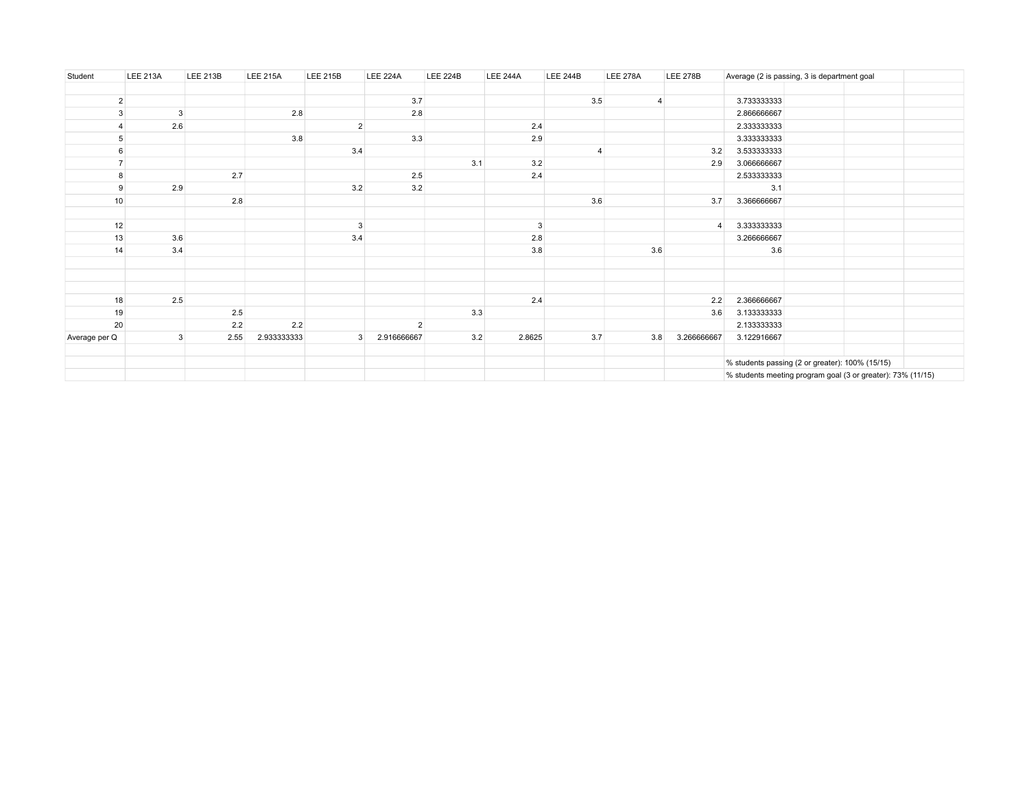| Student        | <b>LEE 213A</b> | <b>LEE 213B</b> | <b>LEE 215A</b> | <b>LEE 215B</b> | <b>LEE 224A</b> | <b>LEE 224B</b> | <b>LEE 244A</b> | <b>LEE 244B</b> | <b>LEE 278A</b> | <b>LEE 278B</b> |             | Average (2 is passing, 3 is department goal                 |  |
|----------------|-----------------|-----------------|-----------------|-----------------|-----------------|-----------------|-----------------|-----------------|-----------------|-----------------|-------------|-------------------------------------------------------------|--|
|                |                 |                 |                 |                 |                 |                 |                 |                 |                 |                 |             |                                                             |  |
| $\overline{2}$ |                 |                 |                 |                 | 3.7             |                 |                 | 3.5             | 4               |                 | 3.733333333 |                                                             |  |
| 3              | 3               |                 | 2.8             |                 | 2.8             |                 |                 |                 |                 |                 | 2.866666667 |                                                             |  |
|                | 2.6             |                 |                 | $\overline{2}$  |                 |                 | 2.4             |                 |                 |                 | 2.333333333 |                                                             |  |
| 5              |                 |                 | 3.8             |                 | 3.3             |                 | 2.9             |                 |                 |                 | 3.333333333 |                                                             |  |
| 6              |                 |                 |                 | 3.4             |                 |                 |                 | $\Delta$        |                 | 3.2             | 3.533333333 |                                                             |  |
| $\overline{7}$ |                 |                 |                 |                 |                 | 3.1             | 3.2             |                 |                 | 2.9             | 3.066666667 |                                                             |  |
| 8              |                 | 2.7             |                 |                 | 2.5             |                 | 2.4             |                 |                 |                 | 2.533333333 |                                                             |  |
| 9              | 2.9             |                 |                 | 3.2             | 3.2             |                 |                 |                 |                 |                 | 3.1         |                                                             |  |
| 10             |                 | 2.8             |                 |                 |                 |                 |                 | 3.6             |                 | 3.7             | 3.366666667 |                                                             |  |
|                |                 |                 |                 |                 |                 |                 |                 |                 |                 |                 |             |                                                             |  |
| 12             |                 |                 |                 | $\mathbf{3}$    |                 |                 | 3               |                 |                 |                 | 3.333333333 |                                                             |  |
| 13             | 3.6             |                 |                 | 3.4             |                 |                 | 2.8             |                 |                 |                 | 3.266666667 |                                                             |  |
| 14             | 3.4             |                 |                 |                 |                 |                 | 3.8             |                 | 3.6             |                 | 3.6         |                                                             |  |
|                |                 |                 |                 |                 |                 |                 |                 |                 |                 |                 |             |                                                             |  |
|                |                 |                 |                 |                 |                 |                 |                 |                 |                 |                 |             |                                                             |  |
|                |                 |                 |                 |                 |                 |                 |                 |                 |                 |                 |             |                                                             |  |
| 18             | 2.5             |                 |                 |                 |                 |                 | 2.4             |                 |                 | 2.2             | 2.366666667 |                                                             |  |
| 19             |                 | 2.5             |                 |                 |                 | 3.3             |                 |                 |                 | 3.6             | 3.133333333 |                                                             |  |
| 20             |                 | 2.2             | 2.2             |                 | $\overline{2}$  |                 |                 |                 |                 |                 | 2.133333333 |                                                             |  |
| Average per Q  | 3               | 2.55            | 2.933333333     | $\mathbf{3}$    | 2.916666667     | 3.2             | 2.8625          | 3.7             | 3.8             | 3.266666667     | 3.122916667 |                                                             |  |
|                |                 |                 |                 |                 |                 |                 |                 |                 |                 |                 |             |                                                             |  |
|                |                 |                 |                 |                 |                 |                 |                 |                 |                 |                 |             | % students passing (2 or greater): 100% (15/15)             |  |
|                |                 |                 |                 |                 |                 |                 |                 |                 |                 |                 |             | % students meeting program goal (3 or greater): 73% (11/15) |  |